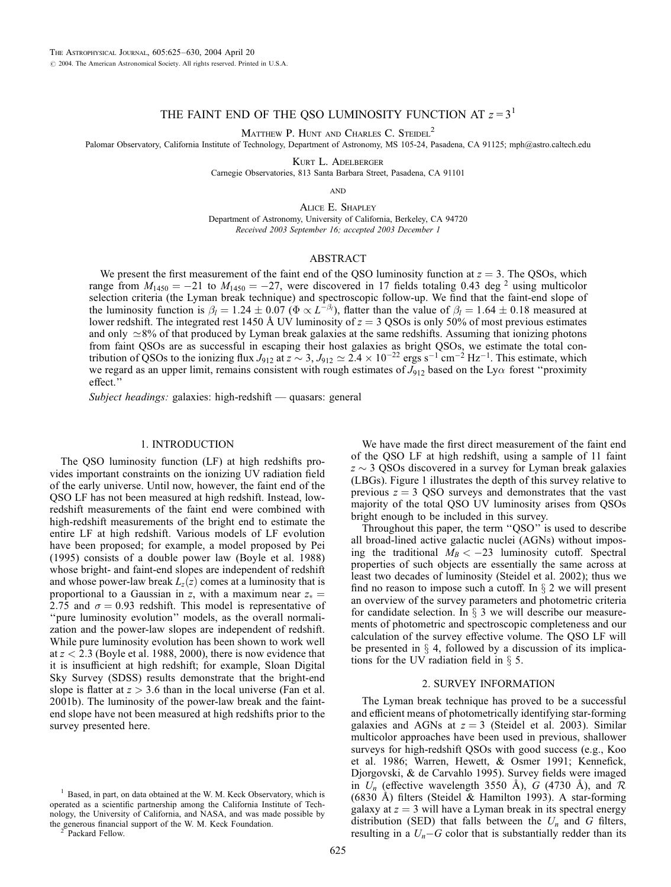# THE FAINT END OF THE QSO LUMINOSITY FUNCTION AT  $z = 3<sup>1</sup>$

MATTHEW P. HUNT AND CHARLES C. STEIDEL<sup>2</sup>

Palomar Observatory, California Institute of Technology, Department of Astronomy, MS 105-24, Pasadena, CA 91125; mph@astro.caltech.edu

Kurt L. Adelberger

Carnegie Observatories, 813 Santa Barbara Street, Pasadena, CA 91101

**AND** 

Alice E. Shapley Department of Astronomy, University of California, Berkeley, CA 94720 Received 2003 September 16; accepted 2003 December 1

# ABSTRACT

We present the first measurement of the faint end of the QSO luminosity function at  $z = 3$ . The QSOs, which range from  $M_{1450} = -21$  to  $M_{1450} = -27$ , were discovered in 17 fields totaling 0.43 deg <sup>2</sup> using multicolor selection criteria (the Lyman break technique) and spectroscopic follow-up. We find that the faint-end slope of the luminosity function is  $\beta_l = 1.24 \pm 0.07$  ( $\Phi \propto L^{-\beta_l}$ ), flatter than the value of  $\beta_l = 1.64 \pm 0.18$  measured at lower redshift. The integrated rest 1450 Å UV luminosity of  $z = 3$  QSOs is only 50% of most previous estimates and only  $\approx$ 8% of that produced by Lyman break galaxies at the same redshifts. Assuming that ionizing photons from faint QSOs are as successful in escaping their host galaxies as bright QSOs, we estimate the total contribution of QSOs to the ionizing flux  $J_{912}$  at  $z \sim 3$ ,  $J_{912} \simeq 2.4 \times 10^{-22}$  ergs s<sup>-1</sup> cm<sup>-2</sup> Hz<sup>-1</sup>. This estimate, which we regard as an upper limit, remains consistent with rough estimates of  $J_{912}$  based on the Ly $\alpha$  forest "proximity effect.''

Subject headings: galaxies: high-redshift — quasars: general

## 1. INTRODUCTION

The QSO luminosity function (LF) at high redshifts provides important constraints on the ionizing UV radiation field of the early universe. Until now, however, the faint end of the QSO LF has not been measured at high redshift. Instead, lowredshift measurements of the faint end were combined with high-redshift measurements of the bright end to estimate the entire LF at high redshift. Various models of LF evolution have been proposed; for example, a model proposed by Pei (1995) consists of a double power law (Boyle et al. 1988) whose bright- and faint-end slopes are independent of redshift and whose power-law break  $L_z(z)$  comes at a luminosity that is proportional to a Gaussian in z, with a maximum near  $z_* =$ 2.75 and  $\sigma = 0.93$  redshift. This model is representative of ''pure luminosity evolution'' models, as the overall normalization and the power-law slopes are independent of redshift. While pure luminosity evolution has been shown to work well at  $z < 2.3$  (Boyle et al. 1988, 2000), there is now evidence that it is insufficient at high redshift; for example, Sloan Digital Sky Survey (SDSS) results demonstrate that the bright-end slope is flatter at  $z > 3.6$  than in the local universe (Fan et al. 2001b). The luminosity of the power-law break and the faintend slope have not been measured at high redshifts prior to the survey presented here.

We have made the first direct measurement of the faint end of the QSO LF at high redshift, using a sample of 11 faint  $z \sim$  3 QSOs discovered in a survey for Lyman break galaxies (LBGs). Figure 1 illustrates the depth of this survey relative to previous  $z = 3$  QSO surveys and demonstrates that the vast majority of the total QSO UV luminosity arises from QSOs bright enough to be included in this survey.

Throughout this paper, the term ''QSO'' is used to describe all broad-lined active galactic nuclei (AGNs) without imposing the traditional  $M_B < -23$  luminosity cutoff. Spectral properties of such objects are essentially the same across at least two decades of luminosity (Steidel et al. 2002); thus we find no reason to impose such a cutoff. In  $\S 2$  we will present an overview of the survey parameters and photometric criteria for candidate selection. In  $\S$  3 we will describe our measurements of photometric and spectroscopic completeness and our calculation of the survey effective volume. The QSO LF will be presented in  $\S$  4, followed by a discussion of its implications for the UV radiation field in  $\S$  5.

### 2. SURVEY INFORMATION

The Lyman break technique has proved to be a successful and efficient means of photometrically identifying star-forming galaxies and AGNs at  $z = 3$  (Steidel et al. 2003). Similar multicolor approaches have been used in previous, shallower surveys for high-redshift QSOs with good success (e.g., Koo et al. 1986; Warren, Hewett, & Osmer 1991; Kennefick, Djorgovski, & de Carvahlo 1995). Survey fields were imaged in  $U_n$  (effective wavelength 3550 Å), G (4730 Å), and  $\mathcal R$ (6830 Å) filters (Steidel & Hamilton 1993). A star-forming galaxy at  $z = 3$  will have a Lyman break in its spectral energy distribution (SED) that falls between the  $U_n$  and G filters, resulting in a  $U_n-G$  color that is substantially redder than its

 $1$  Based, in part, on data obtained at the W. M. Keck Observatory, which is operated as a scientific partnership among the California Institute of Technology, the University of California, and NASA, and was made possible by the generous financial support of the W. M. Keck Foundation.<br><sup>2</sup> Packard Fellow.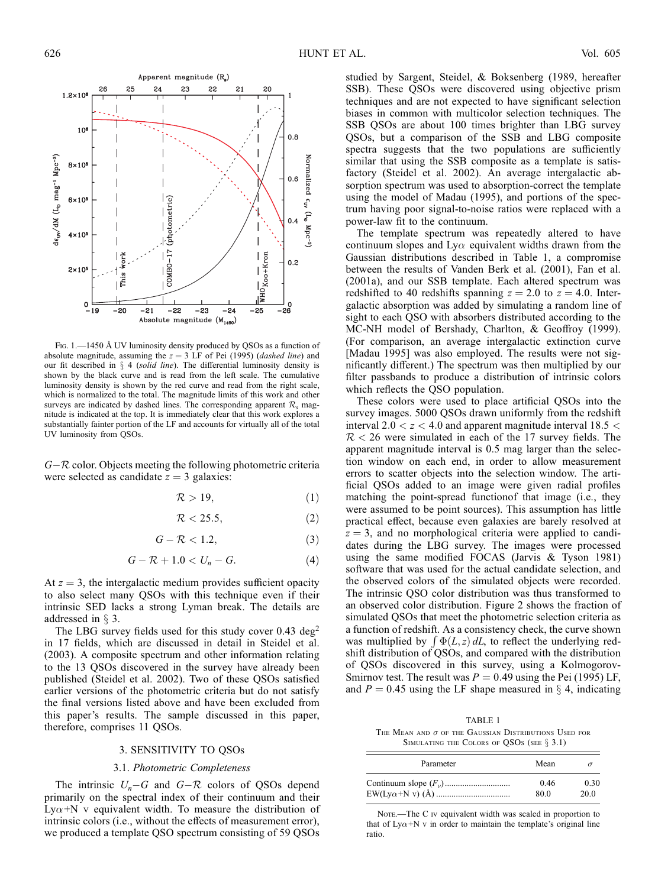

Fig. 1.—1450 Å UV luminosity density produced by QSOs as a function of absolute magnitude, assuming the  $z = 3$  LF of Pei (1995) (*dashed line*) and our fit described in  $\S$  4 (solid line). The differential luminosity density is shown by the black curve and is read from the left scale. The cumulative luminosity density is shown by the red curve and read from the right scale, which is normalized to the total. The magnitude limits of this work and other surveys are indicated by dashed lines. The corresponding apparent  $\mathcal{R}_s$  magnitude is indicated at the top. It is immediately clear that this work explores a substantially fainter portion of the LF and accounts for virtually all of the total UV luminosity from QSOs.

 $G-R$  color. Objects meeting the following photometric criteria were selected as candidate  $z = 3$  galaxies:

$$
\mathcal{R} > 19,\tag{1}
$$

$$
\mathcal{R} < 25.5,\tag{2}
$$

$$
G - \mathcal{R} < 1.2,\tag{3}
$$

$$
G - \mathcal{R} + 1.0 < U_n - G. \tag{4}
$$

At  $z = 3$ , the intergalactic medium provides sufficient opacity to also select many QSOs with this technique even if their intrinsic SED lacks a strong Lyman break. The details are addressed in  $\S$  3.

The LBG survey fields used for this study cover  $0.43 \text{ deg}^2$ in 17 fields, which are discussed in detail in Steidel et al. (2003). A composite spectrum and other information relating to the 13 QSOs discovered in the survey have already been published (Steidel et al. 2002). Two of these QSOs satisfied earlier versions of the photometric criteria but do not satisfy the final versions listed above and have been excluded from this paper's results. The sample discussed in this paper, therefore, comprises 11 QSOs.

#### 3. SENSITIVITY TO QSOs

#### 3.1. Photometric Completeness

The intrinsic  $U_n-G$  and  $G-R$  colors of QSOs depend primarily on the spectral index of their continuum and their Ly $\alpha$ +N v equivalent width. To measure the distribution of intrinsic colors (i.e., without the effects of measurement error), we produced a template QSO spectrum consisting of 59 QSOs

studied by Sargent, Steidel, & Boksenberg (1989, hereafter SSB). These QSOs were discovered using objective prism techniques and are not expected to have significant selection biases in common with multicolor selection techniques. The SSB QSOs are about 100 times brighter than LBG survey QSOs, but a comparison of the SSB and LBG composite spectra suggests that the two populations are sufficiently similar that using the SSB composite as a template is satisfactory (Steidel et al. 2002). An average intergalactic absorption spectrum was used to absorption-correct the template using the model of Madau (1995), and portions of the spectrum having poor signal-to-noise ratios were replaced with a power-law fit to the continuum.

The template spectrum was repeatedly altered to have continuum slopes and Ly $\alpha$  equivalent widths drawn from the Gaussian distributions described in Table 1, a compromise between the results of Vanden Berk et al. (2001), Fan et al. (2001a), and our SSB template. Each altered spectrum was redshifted to 40 redshifts spanning  $z = 2.0$  to  $z = 4.0$ . Intergalactic absorption was added by simulating a random line of sight to each QSO with absorbers distributed according to the MC-NH model of Bershady, Charlton, & Geoffroy (1999). (For comparison, an average intergalactic extinction curve [Madau 1995] was also employed. The results were not significantly different.) The spectrum was then multiplied by our filter passbands to produce a distribution of intrinsic colors which reflects the QSO population.

These colors were used to place artificial QSOs into the survey images. 5000 QSOs drawn uniformly from the redshift interval  $2.0 < z < 4.0$  and apparent magnitude interval  $18.5 <$  $R < 26$  were simulated in each of the 17 survey fields. The apparent magnitude interval is 0.5 mag larger than the selection window on each end, in order to allow measurement errors to scatter objects into the selection window. The artificial QSOs added to an image were given radial profiles matching the point-spread functionof that image (i.e., they were assumed to be point sources). This assumption has little practical effect, because even galaxies are barely resolved at  $z = 3$ , and no morphological criteria were applied to candidates during the LBG survey. The images were processed using the same modified FOCAS (Jarvis & Tyson 1981) software that was used for the actual candidate selection, and the observed colors of the simulated objects were recorded. The intrinsic QSO color distribution was thus transformed to an observed color distribution. Figure 2 shows the fraction of simulated QSOs that meet the photometric selection criteria as a function of redshift. As a consistency check, the curve shown a function of reashift. As a consistency effect, the curve shown<br>was multiplied by  $\int \Phi(L, z) dL$ , to reflect the underlying redshift distribution of QSOs, and compared with the distribution of QSOs discovered in this survey, using a Kolmogorov-Smirnov test. The result was  $P = 0.49$  using the Pei (1995) LF, and  $P = 0.45$  using the LF shape measured in  $\S 4$ , indicating

TABLE 1 THE MEAN AND  $\sigma$  of the Gaussian Distributions Used for SIMULATING THE COLORS OF QSOS (SEE  $\S 3.1$ )

| Parameter | Mean |      |
|-----------|------|------|
|           | 0.46 | 0.30 |
|           | 80.0 | 20.0 |

Note.—The C iv equivalent width was scaled in proportion to that of Ly $\alpha$ +N v in order to maintain the template's original line ratio.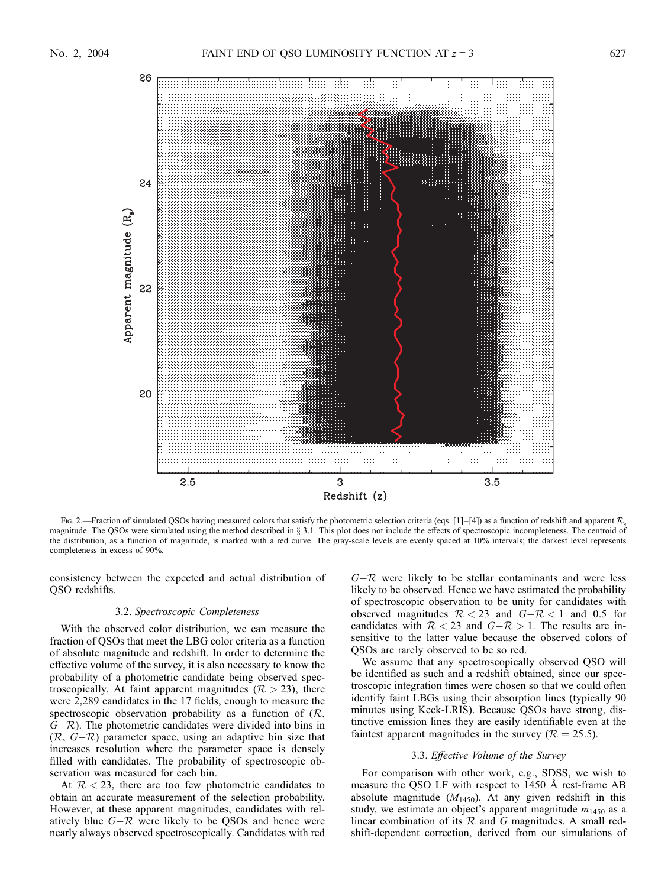

Fig. 2.—Fraction of simulated QSOs having measured colors that satisfy the photometric selection criteria (eqs. [1]–[4]) as a function of redshift and apparent  $\mathcal{R}_s$ magnitude. The QSOs were simulated using the method described in § 3.1. This plot does not include the effects of spectroscopic incompleteness. The centroid of the distribution, as a function of magnitude, is marked with a red curve. The gray-scale levels are evenly spaced at 10% intervals; the darkest level represents completeness in excess of 90%.

consistency between the expected and actual distribution of QSO redshifts.

## 3.2. Spectroscopic Completeness

With the observed color distribution, we can measure the fraction of QSOs that meet the LBG color criteria as a function of absolute magnitude and redshift. In order to determine the effective volume of the survey, it is also necessary to know the probability of a photometric candidate being observed spectroscopically. At faint apparent magnitudes ( $R > 23$ ), there were 2,289 candidates in the 17 fields, enough to measure the spectroscopic observation probability as a function of  $(R,$  $(G-R)$ . The photometric candidates were divided into bins in  $(R, G-R)$  parameter space, using an adaptive bin size that increases resolution where the parameter space is densely filled with candidates. The probability of spectroscopic observation was measured for each bin.

At  $R < 23$ , there are too few photometric candidates to obtain an accurate measurement of the selection probability. However, at these apparent magnitudes, candidates with relatively blue  $G-R$  were likely to be QSOs and hence were nearly always observed spectroscopically. Candidates with red  $G-R$  were likely to be stellar contaminants and were less likely to be observed. Hence we have estimated the probability of spectroscopic observation to be unity for candidates with observed magnitudes  $R < 23$  and  $G - R < 1$  and 0.5 for candidates with  $R < 23$  and  $G - R > 1$ . The results are insensitive to the latter value because the observed colors of QSOs are rarely observed to be so red.

We assume that any spectroscopically observed QSO will be identified as such and a redshift obtained, since our spectroscopic integration times were chosen so that we could often identify faint LBGs using their absorption lines (typically 90 minutes using Keck-LRIS). Because QSOs have strong, distinctive emission lines they are easily identifiable even at the faintest apparent magnitudes in the survey ( $\mathcal{R} = 25.5$ ).

#### 3.3. Effective Volume of the Survey

For comparison with other work, e.g., SDSS, we wish to measure the QSO LF with respect to 1450 Å rest-frame AB absolute magnitude  $(M<sub>1450</sub>)$ . At any given redshift in this study, we estimate an object's apparent magnitude  $m_{1450}$  as a linear combination of its  $R$  and  $G$  magnitudes. A small redshift-dependent correction, derived from our simulations of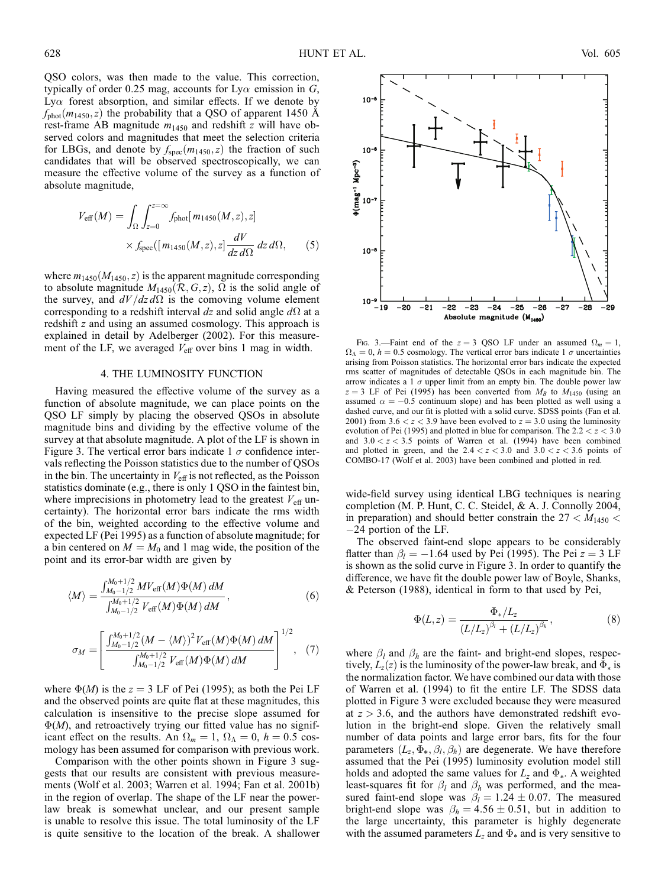QSO colors, was then made to the value. This correction, typically of order 0.25 mag, accounts for Ly $\alpha$  emission in G, Ly $\alpha$  forest absorption, and similar effects. If we denote by  $f_{\text{phot}}(m_{1450},z)$  the probability that a QSO of apparent 1450 Å rest-frame AB magnitude  $m_{1450}$  and redshift z will have observed colors and magnitudes that meet the selection criteria for LBGs, and denote by  $f_{\text{spec}}(m_{1450},z)$  the fraction of such candidates that will be observed spectroscopically, we can measure the effective volume of the survey as a function of absolute magnitude,

$$
V_{\text{eff}}(M) = \int_{\Omega} \int_{z=0}^{z=\infty} f_{\text{phot}}[m_{1450}(M, z), z] \times f_{\text{spec}}([m_{1450}(M, z), z] \frac{dV}{dz d\Omega} dz d\Omega, \quad (5)
$$

where  $m_{1450}(M_{1450},z)$  is the apparent magnitude corresponding to absolute magnitude  $M_{1450}(\mathcal{R}, G, z)$ ,  $\Omega$  is the solid angle of the survey, and  $dV/dz d\Omega$  is the comoving volume element corresponding to a redshift interval dz and solid angle  $d\Omega$  at a redshift z and using an assumed cosmology. This approach is explained in detail by Adelberger (2002). For this measurement of the LF, we averaged  $V_{\text{eff}}$  over bins 1 mag in width.

## 4. THE LUMINOSITY FUNCTION

Having measured the effective volume of the survey as a function of absolute magnitude, we can place points on the QSO LF simply by placing the observed QSOs in absolute magnitude bins and dividing by the effective volume of the survey at that absolute magnitude. A plot of the LF is shown in Figure 3. The vertical error bars indicate 1  $\sigma$  confidence intervals reflecting the Poisson statistics due to the number of QSOs in the bin. The uncertainty in  $V_{\text{eff}}$  is not reflected, as the Poisson statistics dominate (e.g., there is only 1 QSO in the faintest bin, where imprecisions in photometry lead to the greatest  $V_{\text{eff}}$  uncertainty). The horizontal error bars indicate the rms width of the bin, weighted according to the effective volume and expected LF (Pei 1995) as a function of absolute magnitude; for a bin centered on  $M = M_0$  and 1 mag wide, the position of the point and its error-bar width are given by

$$
\langle M \rangle = \frac{\int_{M_0 - 1/2}^{M_0 + 1/2} MV_{\text{eff}}(M)\Phi(M) \, dM}{\int_{M_0 - 1/2}^{M_0 + 1/2}V_{\text{eff}}(M)\Phi(M) \, dM},\tag{6}
$$

$$
\sigma_M = \left[ \frac{\int_{M_0 - 1/2}^{M_0 + 1/2} (M - \langle M \rangle)^2 V_{\text{eff}}(M) \Phi(M) dM}{\int_{M_0 - 1/2}^{M_0 + 1/2} V_{\text{eff}}(M) \Phi(M) dM} \right]^{1/2}, (7)
$$

where  $\Phi(M)$  is the  $z = 3$  LF of Pei (1995); as both the Pei LF and the observed points are quite flat at these magnitudes, this calculation is insensitive to the precise slope assumed for  $\Phi(M)$ , and retroactively trying our fitted value has no significant effect on the results. An  $\Omega_m = 1$ ,  $\Omega_{\Lambda} = 0$ ,  $h = 0.5$  cosmology has been assumed for comparison with previous work.

Comparison with the other points shown in Figure 3 suggests that our results are consistent with previous measurements (Wolf et al. 2003; Warren et al. 1994; Fan et al. 2001b) in the region of overlap. The shape of the LF near the powerlaw break is somewhat unclear, and our present sample is unable to resolve this issue. The total luminosity of the LF is quite sensitive to the location of the break. A shallower



FIG. 3.—Faint end of the  $z = 3$  QSO LF under an assumed  $\Omega_m = 1$ ,  $\Omega_{\Lambda} = 0$ ,  $h = 0.5$  cosmology. The vertical error bars indicate 1  $\sigma$  uncertainties arising from Poisson statistics. The horizontal error bars indicate the expected rms scatter of magnitudes of detectable QSOs in each magnitude bin. The arrow indicates a  $\overline{1}$   $\sigma$  upper limit from an empty bin. The double power law  $z = 3$  LF of Pei (1995) has been converted from  $M_B$  to  $M_{1450}$  (using an assumed  $\alpha = -0.5$  continuum slope) and has been plotted as well using a dashed curve, and our fit is plotted with a solid curve. SDSS points (Fan et al. 2001) from 3.6  $\lt z \lt 3.9$  have been evolved to  $z = 3.0$  using the luminosity evolution of Pei (1995) and plotted in blue for comparison. The  $2.2 < z < 3.0$ and  $3.0 < z < 3.5$  points of Warren et al. (1994) have been combined and plotted in green, and the  $2.4 < z < 3.0$  and  $3.0 < z < 3.6$  points of COMBO-17 (Wolf et al. 2003) have been combined and plotted in red.

wide-field survey using identical LBG techniques is nearing completion (M. P. Hunt, C. C. Steidel, & A. J. Connolly 2004, in preparation) and should better constrain the  $27 < M_{1450} <$  $-24$  portion of the LF.

The observed faint-end slope appears to be considerably flatter than  $\beta_l = -1.64$  used by Pei (1995). The Pei  $z = 3$  LF is shown as the solid curve in Figure 3. In order to quantify the difference, we have fit the double power law of Boyle, Shanks, & Peterson (1988), identical in form to that used by Pei,

$$
\Phi(L, z) = \frac{\Phi_*/L_z}{(L/L_z)^{\beta_l} + (L/L_z)^{\beta_h}},
$$
\n(8)

where  $\beta_l$  and  $\beta_h$  are the faint- and bright-end slopes, respectively,  $L_z(z)$  is the luminosity of the power-law break, and  $\Phi_*$  is the normalization factor. We have combined our data with those of Warren et al. (1994) to fit the entire LF. The SDSS data plotted in Figure 3 were excluded because they were measured at  $z > 3.6$ , and the authors have demonstrated redshift evolution in the bright-end slope. Given the relatively small number of data points and large error bars, fits for the four parameters  $(L_z, \Phi_*, \beta_l, \beta_h)$  are degenerate. We have therefore assumed that the Pei (1995) luminosity evolution model still holds and adopted the same values for  $L_z$  and  $\Phi_*$ . A weighted least-squares fit for  $\beta_l$  and  $\beta_h$  was performed, and the measured faint-end slope was  $\beta_l = 1.24 \pm 0.07$ . The measured bright-end slope was  $\beta_h = 4.56 \pm 0.51$ , but in addition to the large uncertainty, this parameter is highly degenerate with the assumed parameters  $L_z$  and  $\Phi_*$  and is very sensitive to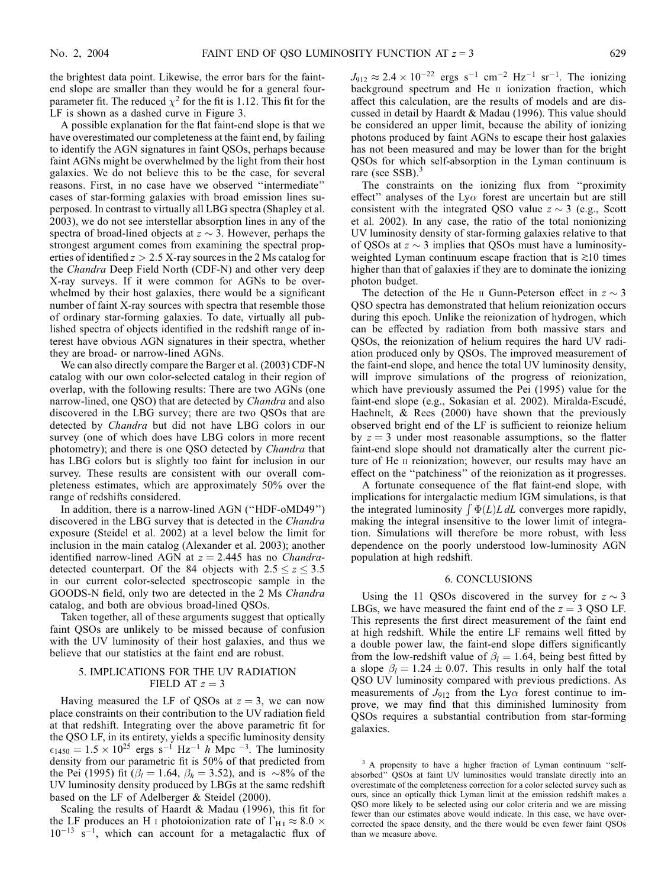the brightest data point. Likewise, the error bars for the faintend slope are smaller than they would be for a general fourparameter fit. The reduced  $\chi^2$  for the fit is 1.12. This fit for the LF is shown as a dashed curve in Figure 3.

A possible explanation for the flat faint-end slope is that we have overestimated our completeness at the faint end, by failing to identify the AGN signatures in faint QSOs, perhaps because faint AGNs might be overwhelmed by the light from their host galaxies. We do not believe this to be the case, for several reasons. First, in no case have we observed ''intermediate'' cases of star-forming galaxies with broad emission lines superposed. In contrast to virtually all LBG spectra (Shapley et al. 2003), we do not see interstellar absorption lines in any of the spectra of broad-lined objects at  $z \sim 3$ . However, perhaps the strongest argument comes from examining the spectral properties of identified  $z > 2.5$  X-ray sources in the 2 Ms catalog for the Chandra Deep Field North (CDF-N) and other very deep X-ray surveys. If it were common for AGNs to be overwhelmed by their host galaxies, there would be a significant number of faint X-ray sources with spectra that resemble those of ordinary star-forming galaxies. To date, virtually all published spectra of objects identified in the redshift range of interest have obvious AGN signatures in their spectra, whether they are broad- or narrow-lined AGNs.

We can also directly compare the Barger et al. (2003) CDF-N catalog with our own color-selected catalog in their region of overlap, with the following results: There are two AGNs (one narrow-lined, one QSO) that are detected by *Chandra* and also discovered in the LBG survey; there are two QSOs that are detected by Chandra but did not have LBG colors in our survey (one of which does have LBG colors in more recent photometry); and there is one QSO detected by Chandra that has LBG colors but is slightly too faint for inclusion in our survey. These results are consistent with our overall completeness estimates, which are approximately 50% over the range of redshifts considered.

In addition, there is a narrow-lined AGN (''HDF-oMD49'') discovered in the LBG survey that is detected in the Chandra exposure (Steidel et al. 2002) at a level below the limit for inclusion in the main catalog (Alexander et al. 2003); another identified narrow-lined AGN at  $z = 2.445$  has no *Chandra*detected counterpart. Of the 84 objects with  $2.5 \le z \le 3.5$ in our current color-selected spectroscopic sample in the GOODS-N field, only two are detected in the 2 Ms Chandra catalog, and both are obvious broad-lined QSOs.

Taken together, all of these arguments suggest that optically faint QSOs are unlikely to be missed because of confusion with the UV luminosity of their host galaxies, and thus we believe that our statistics at the faint end are robust.

# 5. IMPLICATIONS FOR THE UV RADIATION FIELD AT  $z = 3$

Having measured the LF of QSOs at  $z = 3$ , we can now place constraints on their contribution to the UV radiation field at that redshift. Integrating over the above parametric fit for the QSO LF, in its entirety, yields a specific luminosity density  $\epsilon_{1450} = 1.5 \times 10^{25}$  ergs s<sup>-1</sup> Hz<sup>-1</sup> h Mpc<sup>-3</sup>. The luminosity density from our parametric fit is 50% of that predicted from the Pei (1995) fit ( $\beta_l = 1.64$ ,  $\beta_h = 3.52$ ), and is  $\sim 8\%$  of the UV luminosity density produced by LBGs at the same redshift based on the LF of Adelberger & Steidel (2000).

Scaling the results of Haardt & Madau (1996), this fit for the LF produces an H<sub>1</sub> photoionization rate of  $\Gamma_{\text{H}_{\text{I}}} \approx 8.0 \times$  $10^{-13}$  s<sup>-1</sup>, which can account for a metagalactic flux of  $J_{912} \approx 2.4 \times 10^{-22}$  ergs s<sup>-1</sup> cm<sup>-2</sup> Hz<sup>-1</sup> sr<sup>-1</sup>. The ionizing background spectrum and He II ionization fraction, which affect this calculation, are the results of models and are discussed in detail by Haardt & Madau (1996). This value should be considered an upper limit, because the ability of ionizing photons produced by faint AGNs to escape their host galaxies has not been measured and may be lower than for the bright QSOs for which self-absorption in the Lyman continuum is rare (see  $SSB$ ).<sup>3</sup>

The constraints on the ionizing flux from ''proximity effect" analyses of the Ly $\alpha$  forest are uncertain but are still consistent with the integrated QSO value  $z \sim 3$  (e.g., Scott et al. 2002). In any case, the ratio of the total nonionizing UV luminosity density of star-forming galaxies relative to that of QSOs at  $z \sim 3$  implies that QSOs must have a luminosityweighted Lyman continuum escape fraction that is  $\geq 10$  times higher than that of galaxies if they are to dominate the ionizing photon budget.

The detection of the He  $\scriptstyle\rm II$  Gunn-Peterson effect in  $z \sim 3$ QSO spectra has demonstrated that helium reionization occurs during this epoch. Unlike the reionization of hydrogen, which can be effected by radiation from both massive stars and QSOs, the reionization of helium requires the hard UV radiation produced only by QSOs. The improved measurement of the faint-end slope, and hence the total UV luminosity density, will improve simulations of the progress of reionization, which have previously assumed the Pei (1995) value for the faint-end slope (e.g., Sokasian et al. 2002). Miralda-Escudé, Haehnelt, & Rees (2000) have shown that the previously observed bright end of the LF is sufficient to reionize helium by  $z = 3$  under most reasonable assumptions, so the flatter faint-end slope should not dramatically alter the current picture of He ii reionization; however, our results may have an effect on the ''patchiness'' of the reionization as it progresses.

A fortunate consequence of the flat faint-end slope, with implications for intergalactic medium IGM simulations, is that mipheations for intergalactic inequality for simulations, is diat-<br>the integrated luminosity  $\int \Phi(L)L \, dL$  converges more rapidly, making the integral insensitive to the lower limit of integration. Simulations will therefore be more robust, with less dependence on the poorly understood low-luminosity AGN population at high redshift.

### 6. CONCLUSIONS

Using the 11 QSOs discovered in the survey for  $z \sim 3$ LBGs, we have measured the faint end of the  $z = 3$  QSO LF. This represents the first direct measurement of the faint end at high redshift. While the entire LF remains well fitted by a double power law, the faint-end slope differs significantly from the low-redshift value of  $\beta_l = 1.64$ , being best fitted by a slope  $\beta_l = 1.24 \pm 0.07$ . This results in only half the total QSO UV luminosity compared with previous predictions. As measurements of  $J_{912}$  from the Ly $\alpha$  forest continue to improve, we may find that this diminished luminosity from QSOs requires a substantial contribution from star-forming galaxies.

<sup>3</sup> A propensity to have a higher fraction of Lyman continuum "selfabsorbed'' QSOs at faint UV luminosities would translate directly into an overestimate of the completeness correction for a color selected survey such as ours, since an optically thick Lyman limit at the emission redshift makes a QSO more likely to be selected using our color criteria and we are missing fewer than our estimates above would indicate. In this case, we have overcorrected the space density, and the there would be even fewer faint QSOs than we measure above.